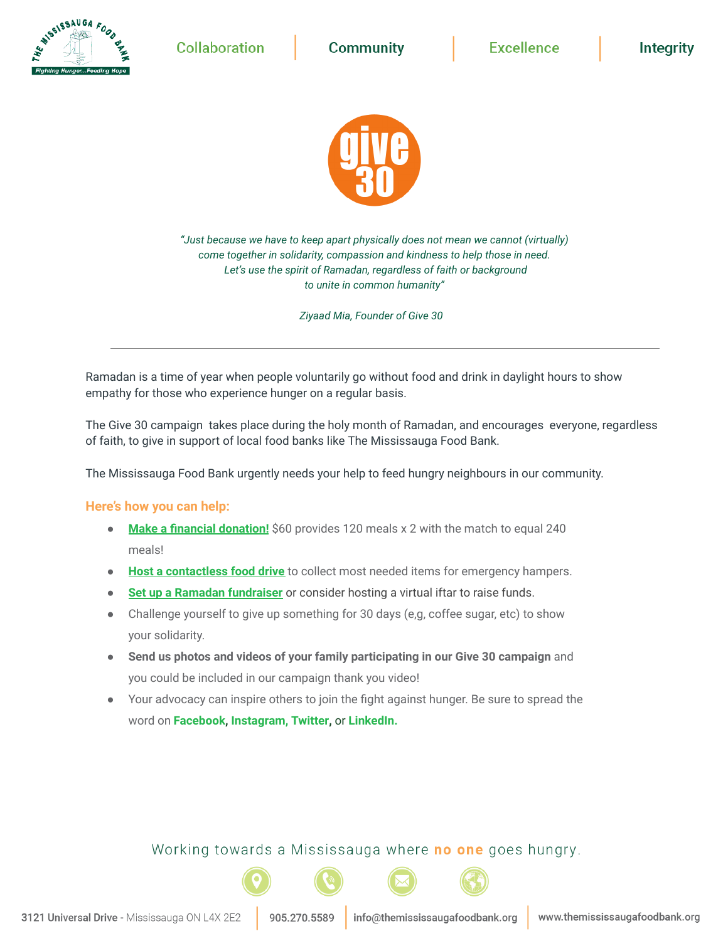**Collaboration** 

**AISSISSAUGA FOOD** 

**Community** 

**Intearity** 



*"Just because we have to keep apart physically does not mean we cannot (virtually) come together in solidarity, compassion and kindness to help those in need. Let's use the spirit of Ramadan, regardless of faith or background to unite in common humanity"*

*Ziyaad Mia, Founder of Give 30*

Ramadan is a time of year when people voluntarily go without food and drink in daylight hours to show empathy for those who experience hunger on a regular basis.

The Give 30 campaign takes place during the holy month of Ramadan, and encourages everyone, regardless of faith, to give in support of local food banks like The Mississauga Food Bank.

The Mississauga Food Bank urgently needs your help to feed hungry neighbours in our community.

#### **Here's how you can help:**

- **Make a financial [donation!](https://www.themississaugafoodbank.org/donate-2021-give30/)** \$60 provides 120 meals x 2 with the match to equal 240 meals!
- **Host a [contactless](https://www.themississaugafoodbank.org/register-food-drive/) food drive** to collect most needed items for emergency hampers.
- **Set up a Ramadan [fundraiser](https://www.themississaugafoodbank.org/register-food-drive/)** or consider hosting a virtual iftar to raise funds.
- Challenge yourself to give up something for 30 days (e,g, coffee sugar, etc) to show your solidarity.
- **Send us photos and videos of your family participating in our Give 30 campaign** and you could be included in our campaign thank you video!
- Your advocacy can inspire others to join the fight against hunger. Be sure to spread the word on **[Facebook,](https://www.facebook.com/themississaugafoodbank/) [Instagram,](https://www.instagram.com/themississaugafoodbank/) [Twitter,](http://www.twitter.com/food_bank)** or **[LinkedIn.](https://www.linkedin.com/company/the-mississauga-food-bank)**

Working towards a Mississauga where no one goes hungry.